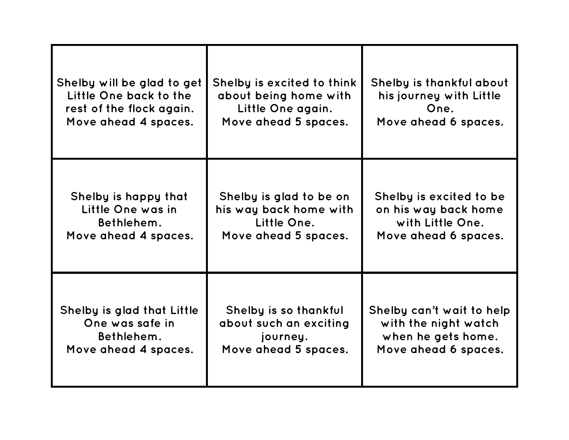| Shelby will be glad to get | Shelby is excited to think | Shelby is thankful about  |
|----------------------------|----------------------------|---------------------------|
| Little One back to the     | about being home with      | his journey with Little   |
| rest of the flock again.   | Little One again.          | One.                      |
| Move ahead 4 spaces.       | Move ahead 5 spaces.       | Move ahead 6 spaces.      |
| Shelby is happy that       | Shelby is glad to be on    | Shelby is excited to be   |
| Little One was in          | his way back home with     | on his way back home      |
| Bethlehem.                 | Little One.                | with Little One.          |
| Move ahead 4 spaces.       | Move ahead 5 spaces.       | Move ahead 6 spaces.      |
| Shelby is glad that Little | Shelby is so thankful      | Shelby can't wait to help |
| One was safe in            | about such an exciting     | with the night watch      |
| Bethlehem.                 | journey.                   | when he gets home.        |
| Move ahead 4 spaces.       | Move ahead 5 spaces.       | Move ahead 6 spaces.      |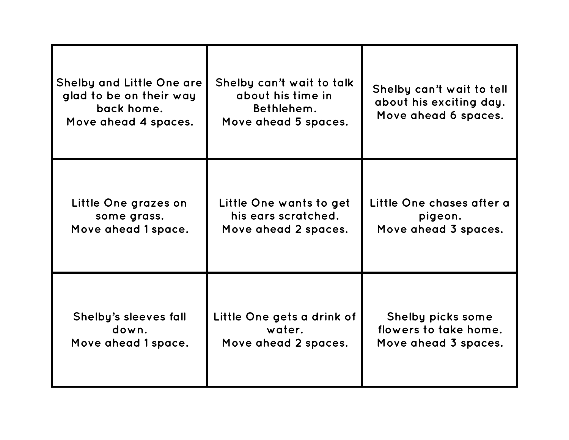| <b>Shelby and Little One are</b><br>glad to be on their way<br>back home.<br>Move ahead 4 spaces. | Shelby can't wait to talk<br>about his time in<br>Bethlehem.<br>Move ahead 5 spaces. | Shelby can't wait to tell<br>about his exciting day.<br>Move ahead 6 spaces. |
|---------------------------------------------------------------------------------------------------|--------------------------------------------------------------------------------------|------------------------------------------------------------------------------|
| Little One grazes on                                                                              | Little One wants to get                                                              | Little One chases after a                                                    |
| some grass.                                                                                       | his ears scratched.                                                                  | pigeon.                                                                      |
| Move ahead 1 space.                                                                               | Move ahead 2 spaces.                                                                 | Move ahead 3 spaces.                                                         |
| Shelby's sleeves fall                                                                             | Little One gets a drink of                                                           | Shelby picks some                                                            |
| down.                                                                                             | water.                                                                               | flowers to take home.                                                        |
| Move ahead 1 space.                                                                               | Move ahead 2 spaces.                                                                 | Move ahead 3 spaces.                                                         |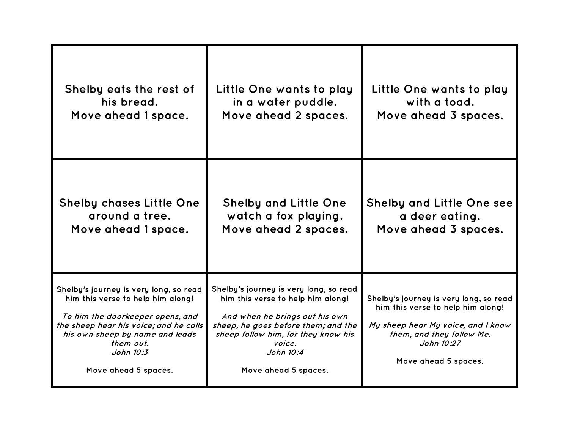| Shelby eats the rest of                                                                                                                                                                                                                        | Little One wants to play                                                                                                                                                                                                                   | Little One wants to play                                                                                                                                                             |
|------------------------------------------------------------------------------------------------------------------------------------------------------------------------------------------------------------------------------------------------|--------------------------------------------------------------------------------------------------------------------------------------------------------------------------------------------------------------------------------------------|--------------------------------------------------------------------------------------------------------------------------------------------------------------------------------------|
| his bread.                                                                                                                                                                                                                                     | in a water puddle.                                                                                                                                                                                                                         | with a toad.                                                                                                                                                                         |
| Move ahead 1 space.                                                                                                                                                                                                                            | Move ahead 2 spaces.                                                                                                                                                                                                                       | Move ahead 3 spaces.                                                                                                                                                                 |
| <b>Shelby chases Little One</b>                                                                                                                                                                                                                | <b>Shelby and Little One</b>                                                                                                                                                                                                               | Shelby and Little One see                                                                                                                                                            |
| around a tree.                                                                                                                                                                                                                                 | watch a fox playing.                                                                                                                                                                                                                       | a deer eating.                                                                                                                                                                       |
| Move ahead 1 space.                                                                                                                                                                                                                            | Move ahead 2 spaces.                                                                                                                                                                                                                       | Move ahead 3 spaces.                                                                                                                                                                 |
| Shelby's journey is very long, so read<br>him this verse to help him along!<br>To him the doorkeeper opens, and<br>the sheep hear his voice; and he calls<br>his own sheep by name and leads<br>them out.<br>John 10:3<br>Move ahead 5 spaces. | Shelby's journey is very long, so read<br>him this verse to help him along!<br>And when he brings out his own<br>sheep, he goes before them; and the<br>sheep follow him, for they know his<br>voice.<br>John 10:4<br>Move ahead 5 spaces. | Shelby's journey is very long, so read<br>him this verse to help him along!<br>My sheep hear My voice, and I know<br>them, and they follow Me.<br>John 10:27<br>Move ahead 5 spaces. |